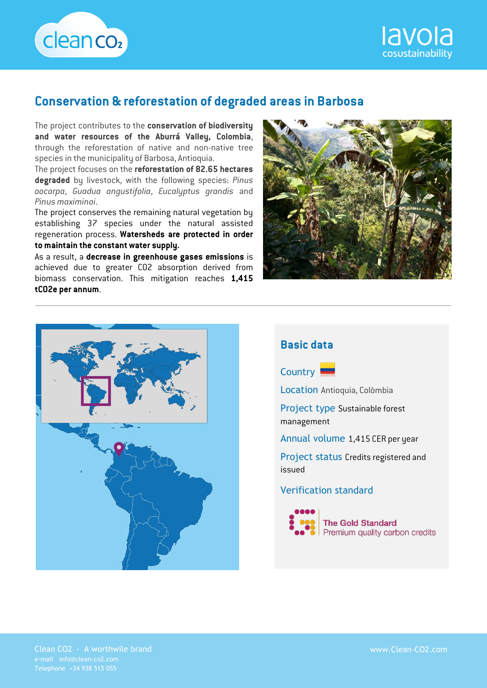



## **Conservation & reforestation of degraded areas in Barbosa**

The project contributes to the **conservation of biodiversity and water resources of the Aburrá Valley, Colombia**, through the reforestation of native and non-native tree species in the municipality of Barbosa, Antioquia.

The project focuses on the **reforestation of 82.65 hectares degraded** by livestock, with the following species: *Pinus oocarpa*, *Guadua angustifolia*, *Eucalyptus grandis* and *Pinus maximinoi*.

The project conserves the remaining natural vegetation by establishing 37 species under the natural assisted regeneration process. **Watersheds are protected in order to maintain the constant water supply.**

As a result, a **decrease in greenhouse gases emissions** is achieved due to greater CO2 absorption derived from biomass conservation. This mitigation reaches **1,415 tCO2e per annum**.









Clean CO2 - A worthwile brand www.Clean-CO2.com e-mail info@clean-co2.com Telephone +34 938 515 055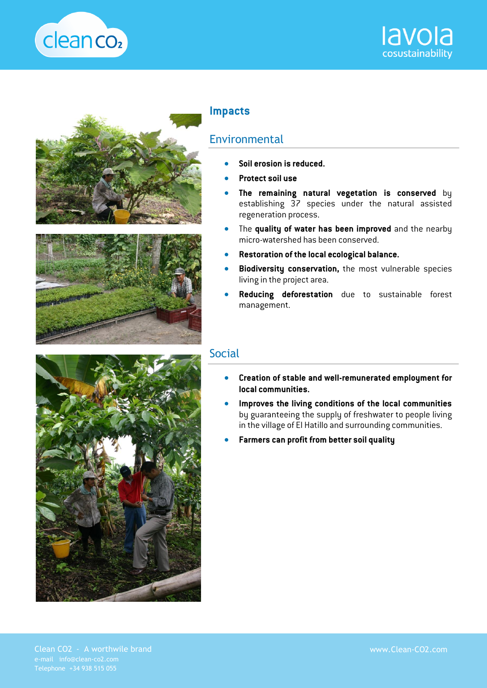







## **Impacts**

## **Environmental**

- **Soil erosion is reduced.**
- **Protect soil use**
- **The remaining natural vegetation is conserved** by establishing 37 species under the natural assisted regeneration process.
- The **quality of water has been improved** and the nearby micro-watershed has been conserved.
- **Restoration of the local ecological balance.**
- **Biodiversity conservation,** the most vulnerable species living in the project area.
- **Reducing deforestation** due to sustainable forest management.

## Social

- **Creation of stable and well-remunerated employment for local communities.**
- **Improves the living conditions of the local communities** by guaranteeing the supply of freshwater to people living in the village of El Hatillo and surrounding communities.
- **Farmers can profit from better soil quality**